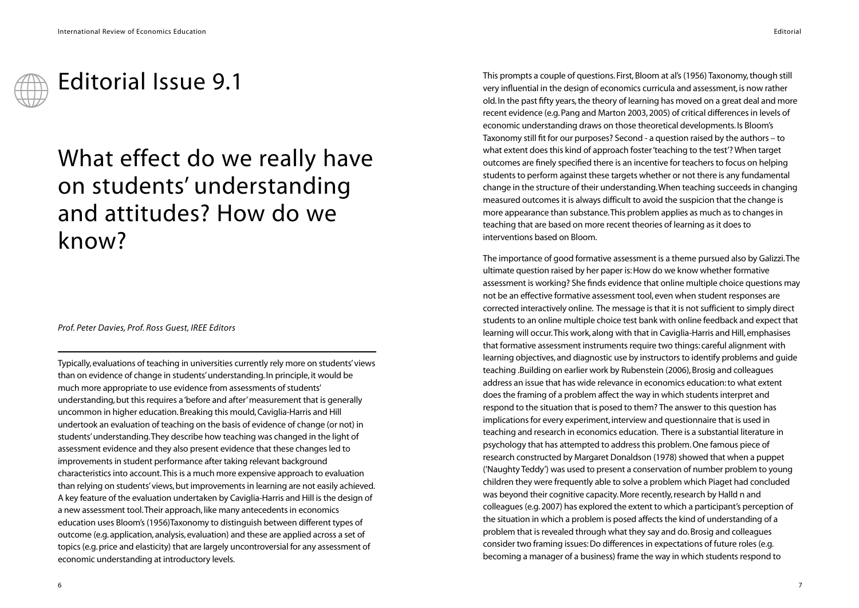## Editorial Issue 9.1

## What effect do we really have on students' understanding and attitudes? How do we know?

## *Prof. Peter Davies, Prof. Ross Guest, IREE Editors*

Typically, evaluations of teaching in universities currently rely more on students'views than on evidence of change in students' understanding. In principle, it would be much more appropriate to use evidence from assessments of students' understanding, but this requires a 'before and after'measurement that is generally uncommon in higher education. Breaking this mould, Caviglia-Harris and Hill undertook an evaluation of teaching on the basis of evidence of change (or not) in students'understanding.They describe how teaching was changed in the light of assessment evidence and they also present evidence that these changes led to improvements in student performance after taking relevant background characteristics into account.This is a much more expensive approach to evaluation than relying on students'views, but improvements in learning are not easily achieved. A key feature of the evaluation undertaken by Caviglia-Harris and Hill is the design of a new assessment tool.Their approach, like many antecedents in economics education uses Bloom's (1956)Taxonomy to distinguish between different types of outcome (e.g. application, analysis, evaluation) and these are applied across a set of topics (e.g. price and elasticity) that are largely uncontroversial for any assessment of economic understanding at introductory levels.

This prompts a couple of questions. First, Bloom at al's (1956) Taxonomy, though still very influential in the design of economics curricula and assessment, is now rather old. In the past fifty years, the theory of learning has moved on a great deal and more recent evidence (e.g. Pang and Marton 2003, 2005) of critical differences in levels of economic understanding draws on those theoretical developments. Is Bloom's Taxonomy still fit for our purposes? Second - a question raised by the authors – to what extent does this kind of approach foster 'teaching to the test'? When target outcomes are finely specified there is an incentive for teachers to focus on helping students to perform against these targets whether or not there is any fundamental change in the structure of their understanding.When teaching succeeds in changing measured outcomes it is always difficult to avoid the suspicion that the change is more appearance than substance.This problem applies as much as to changes in teaching that are based on more recent theories of learning as it does to interventions based on Bloom.

The importance of good formative assessment is a theme pursued also by Galizzi.The ultimate question raised by her paper is:How do we know whether formative assessment is working? She finds evidence that online multiple choice questions may not be an effective formative assessment tool, even when student responses are corrected interactively online. The message is that it is not sufficient to simply direct students to an online multiple choice test bank with online feedback and expect that learning will occur.This work, along with that in Caviglia-Harris and Hill, emphasises that formative assessment instruments require two things: careful alignment with learning objectives, and diagnostic use by instructors to identify problems and guide teaching .Building on earlier work by Rubenstein (2006), Brosig and colleagues address an issue that has wide relevance in economics education: to what extent does the framing of a problem affect the way in which students interpret and respond to the situation that is posed to them? The answer to this question has implications for every experiment, interview and questionnaire that is used in teaching and research in economics education. There is a substantial literature in psychology that has attempted to address this problem. One famous piece of research constructed by Margaret Donaldson (1978) showed that when a puppet ('Naughty Teddy') was used to present a conservation of number problem to young children they were frequently able to solve a problem which Piaget had concluded was beyond their cognitive capacity. More recently, research by Halld n and colleagues (e.g. 2007) has explored the extent to which a participant's perception of the situation in which a problem is posed affects the kind of understanding of a problem that is revealed through what they say and do. Brosig and colleagues consider two framing issues: Do differences in expectations of future roles (e.g. becoming a manager of a business) frame the way in which students respond to

Editorial